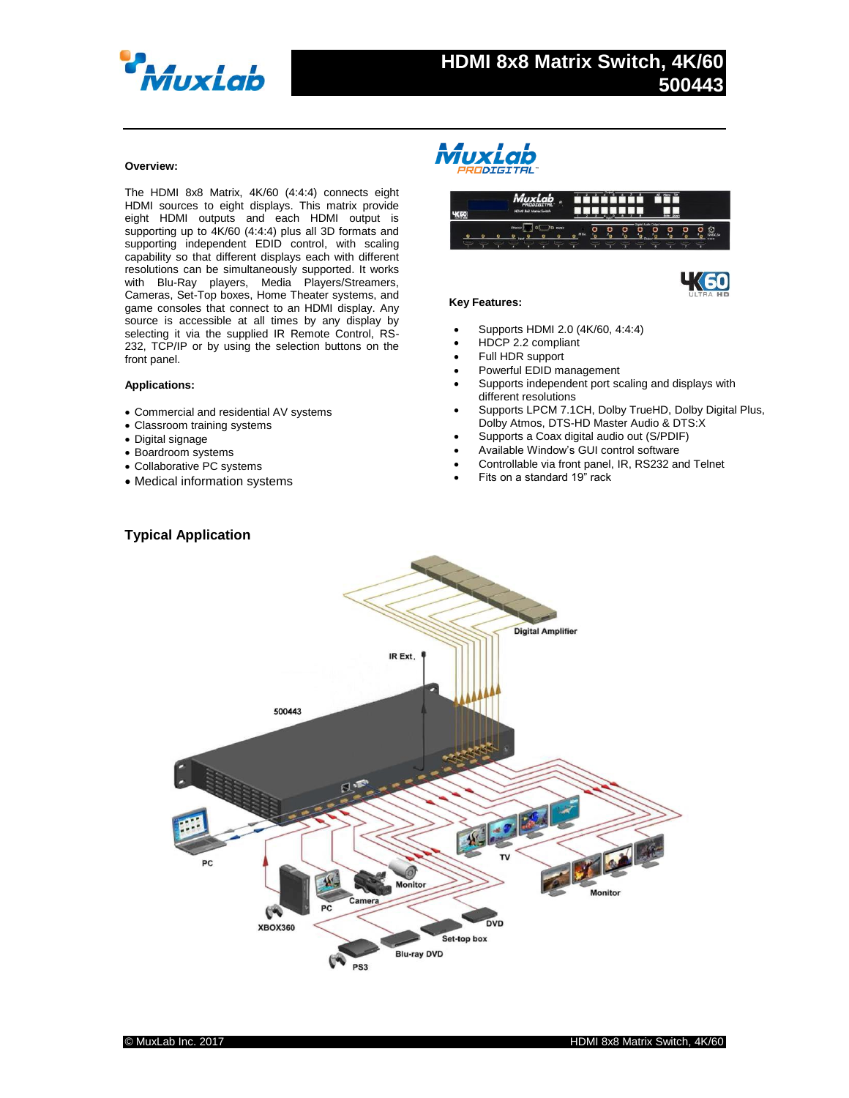

# **HDMI 8x8 Matrix Switch, 4K/60 500443**

# **Overview:**

The HDMI 8x8 Matrix, 4K/60 (4:4:4) connects eight HDMI sources to eight displays. This matrix provide eight HDMI outputs and each HDMI output is supporting up to 4K/60 (4:4:4) plus all 3D formats and supporting independent EDID control, with scaling capability so that different displays each with different resolutions can be simultaneously supported. It works with Blu-Ray players, Media Players/Streamers, Cameras, Set-Top boxes, Home Theater systems, and game consoles that connect to an HDMI display. Any source is accessible at all times by any display by selecting it via the supplied IR Remote Control, RS-232, TCP/IP or by using the selection buttons on the front panel.

### **Applications:**

- Commercial and residential AV systems
- Classroom training systems
- Digital signage
- Boardroom systems
- Collaborative PC systems
- Medical information systems







## **Key Features:**

- Supports HDMI 2.0 (4K/60, 4:4:4)
- HDCP 2.2 compliant
- Full HDR support
- Powerful EDID management
- Supports independent port scaling and displays with different resolutions
- Supports LPCM 7.1CH, Dolby TrueHD, Dolby Digital Plus, Dolby Atmos, DTS-HD Master Audio & DTS:X
- Supports a Coax digital audio out (S/PDIF)
- Available Window's GUI control software
- Controllable via front panel, IR, RS232 and Telnet
- Fits on a standard 19" rack